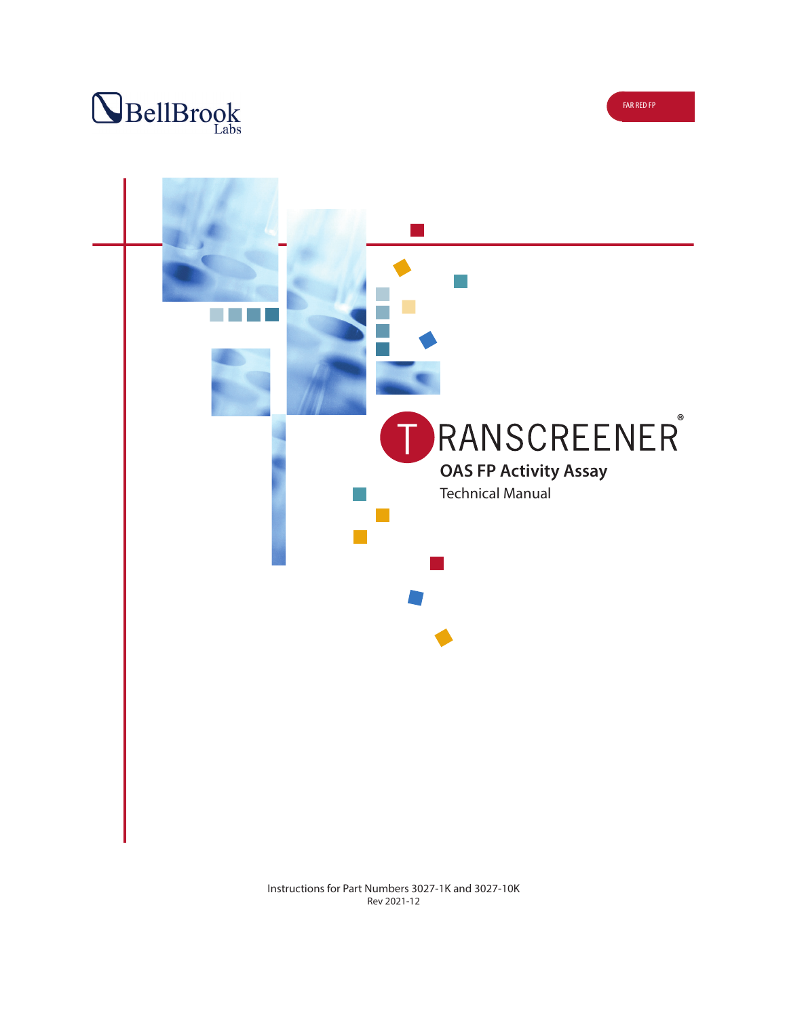



Instructions for Part Numbers 3027-1K and 3027-10K Rev 2021-12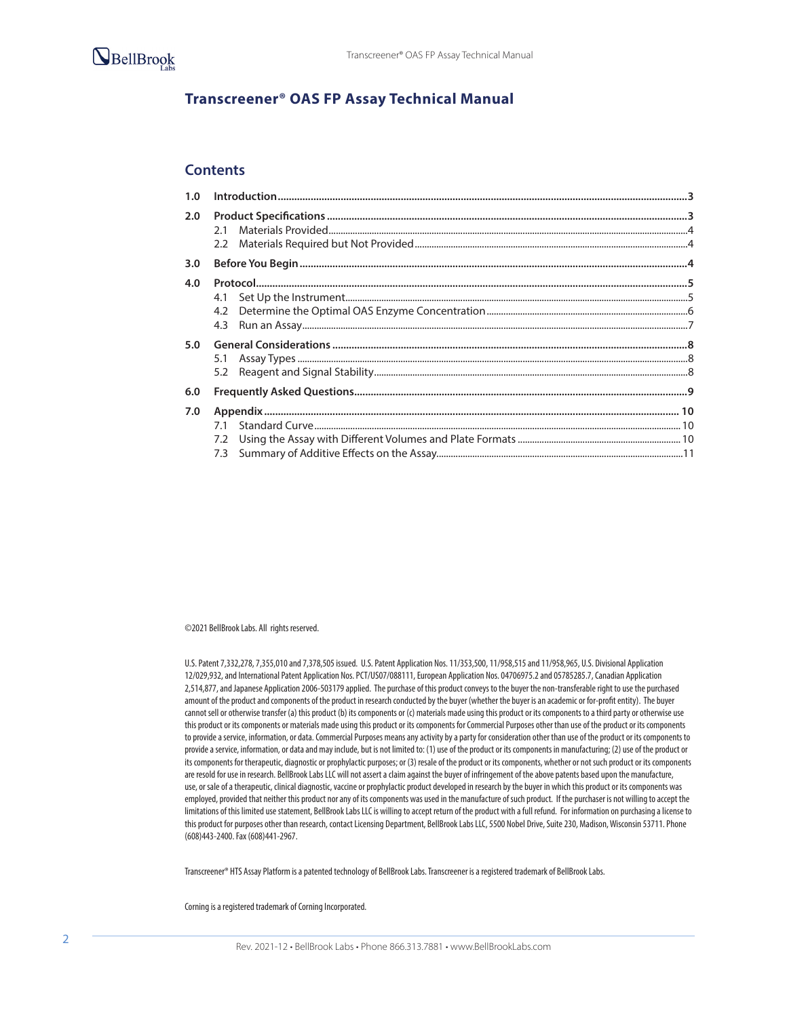

# **Transcreener® OAS FP Assay Technical Manual**

### **Contents**

| 2.0 |  |
|-----|--|
| 3.0 |  |
| 4.0 |  |
|     |  |
|     |  |
|     |  |
| 5.0 |  |
|     |  |
|     |  |
| 6.0 |  |
| 7.0 |  |
|     |  |
|     |  |
|     |  |

©2021 BellBrook Labs. All rights reserved.

U.S. Patent 7,332,278, 7,355,010 and 7,378,505 issued. U.S. Patent Application Nos. 11/353,500, 11/958,515 and 11/958,965, U.S. Divisional Application 12/029,932, and International Patent Application Nos. PCT/US07/088111, European Application Nos. 04706975.2 and 05785285.7, Canadian Application 2,514,877, and Japanese Application 2006-503179 applied. The purchase of this product conveys to the buyer the non-transferable right to use the purchased amount of the product and components of the product in research conducted by the buyer (whether the buyer is an academic or for-profit entity). The buyer cannot sell or otherwise transfer (a) this product (b) its components or (c) materials made using this product or its components to a third party or otherwise use this product or its components or materials made using this product or its components for Commercial Purposes other than use of the product or its components to provide a service, information, or data. Commercial Purposes means any activity by a party for consideration other than use of the product or its components to provide a service, information, or data and may include, but is not limited to: (1) use of the product or its components in manufacturing; (2) use of the product or its components for therapeutic, diagnostic or prophylactic purposes; or (3) resale of the product or its components, whether or not such product or its components are resold for use in research. BellBrook Labs LLC will not assert a claim against the buyer of infringement of the above patents based upon the manufacture, use, or sale of a therapeutic, clinical diagnostic, vaccine or prophylactic product developed in research by the buyer in which this product or its components was employed, provided that neither this product nor any of its components was used in the manufacture of such product. If the purchaser is not willing to accept the limitations of this limited use statement, BellBrook Labs LLC is willing to accept return of the product with a full refund. For information on purchasing a license to this product for purposes other than research, contact Licensing Department, BellBrook Labs LLC, 5500 Nobel Drive, Suite 230, Madison, Wisconsin 53711. Phone (608)443-2400. Fax (608)441-2967.

Transcreener® HTS Assay Platform is a patented technology of BellBrook Labs. Transcreener is a registered trademark of BellBrook Labs.

Corning is a registered trademark of Corning Incorporated.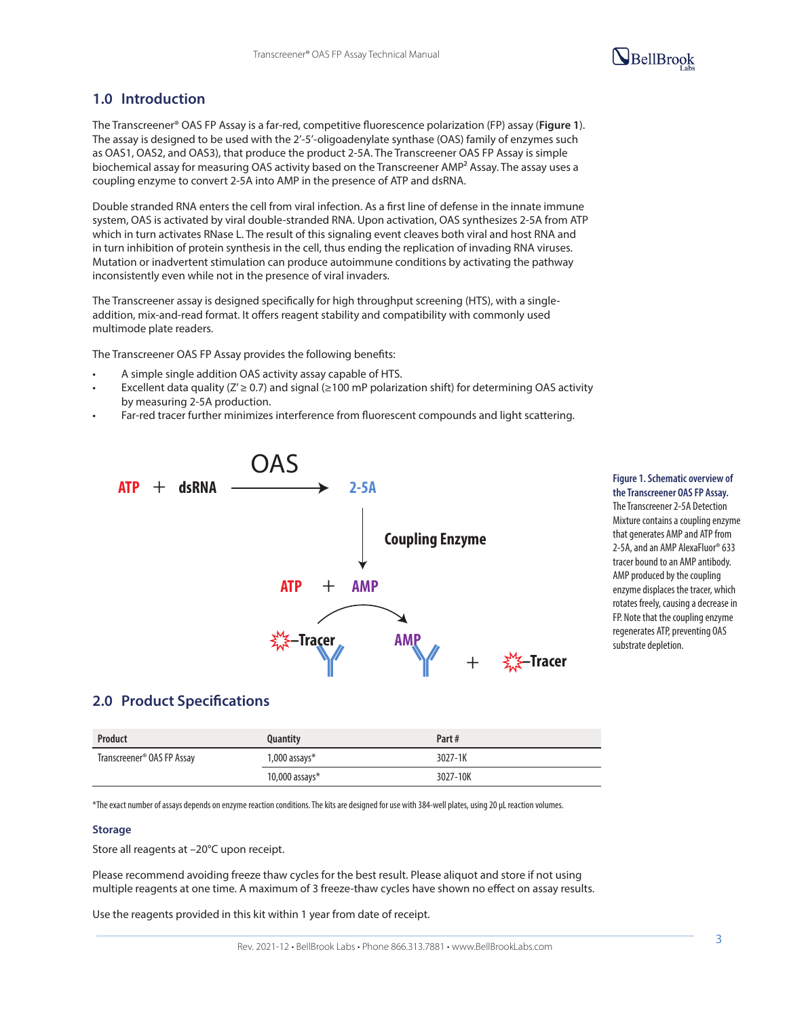# $\mathbf{Q}_{\text{BellBrook}}$

# **1.0 Introduction**

The Transcreener® OAS FP Assay is a far-red, competitive fluorescence polarization (FP) assay (**Figure 1**). The assay is designed to be used with the 2'-5'-oligoadenylate synthase (OAS) family of enzymes such as OAS1, OAS2, and OAS3), that produce the product 2-5A. The Transcreener OAS FP Assay is simple biochemical assay for measuring OAS activity based on the Transcreener AMP<sup>2</sup> Assay. The assay uses a coupling enzyme to convert 2-5A into AMP in the presence of ATP and dsRNA.

Double stranded RNA enters the cell from viral infection. As a first line of defense in the innate immune system, OAS is activated by viral double-stranded RNA. Upon activation, OAS synthesizes 2-5A from ATP which in turn activates RNase L. The result of this signaling event cleaves both viral and host RNA and in turn inhibition of protein synthesis in the cell, thus ending the replication of invading RNA viruses. Mutation or inadvertent stimulation can produce autoimmune conditions by activating the pathway inconsistently even while not in the presence of viral invaders.

The Transcreener assay is designed specifically for high throughput screening (HTS), with a singleaddition, mix-and-read format. It offers reagent stability and compatibility with commonly used multimode plate readers.

The Transcreener OAS FP Assay provides the following benefits:

- A simple single addition OAS activity assay capable of HTS.
- Excellent data quality (Z' ≥ 0.7) and signal (≥100 mP polarization shift) for determining OAS activity by measuring 2-5A production.
- Far-red tracer further minimizes interference from fluorescent compounds and light scattering.



# **the Transcreener OAS FP Assay.**

The Transcreener 2-5A Detection Mixture contains a coupling enzyme that generates AMP and ATP from 2-5A, and an AMP AlexaFluor® 633 tracer bound to an AMP antibody. AMP produced by the coupling enzyme displaces the tracer, which rotates freely, causing a decrease in FP. Note that the coupling enzyme regenerates ATP, preventing OAS

# **2.0 Product Specifications**

| Product                                | Quantity           | Part#    |
|----------------------------------------|--------------------|----------|
| Transcreener <sup>®</sup> OAS FP Assay | $1,000$ assays $*$ | 3027-1K  |
|                                        | 10,000 assays $*$  | 3027-10K |

\*The exact number of assays depends on enzyme reaction conditions. The kits are designed for use with 384-well plates, using 20 µL reaction volumes.

#### **Storage**

Store all reagents at –20°C upon receipt.

Please recommend avoiding freeze thaw cycles for the best result. Please aliquot and store if not using multiple reagents at one time. A maximum of 3 freeze-thaw cycles have shown no effect on assay results.

Use the reagents provided in this kit within 1 year from date of receipt.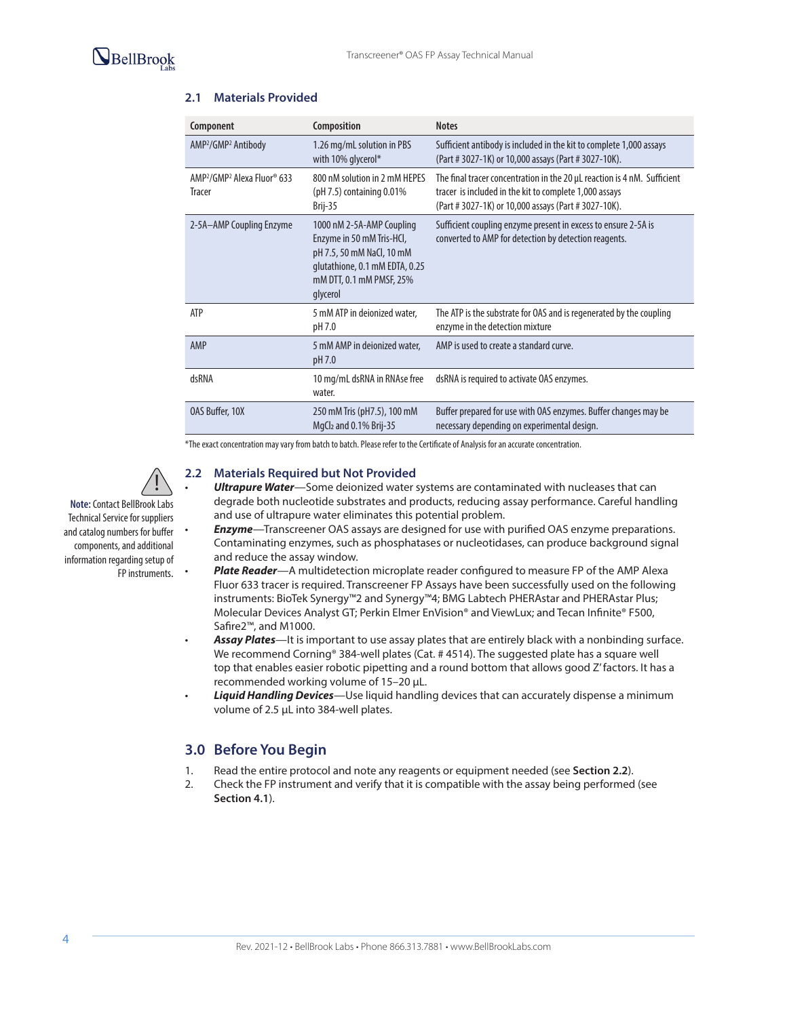

| Component                                                                        | Composition                                                                                                                                                   | <b>Notes</b>                                                                                                                                                                               |
|----------------------------------------------------------------------------------|---------------------------------------------------------------------------------------------------------------------------------------------------------------|--------------------------------------------------------------------------------------------------------------------------------------------------------------------------------------------|
| AMP <sup>2</sup> /GMP <sup>2</sup> Antibody                                      | 1.26 mg/mL solution in PBS<br>with 10% glycerol*                                                                                                              | Sufficient antibody is included in the kit to complete 1,000 assays<br>(Part # 3027-1K) or 10,000 assays (Part # 3027-10K).                                                                |
| AMP <sup>2</sup> /GMP <sup>2</sup> Alexa Fluor <sup>®</sup> 633<br><b>Tracer</b> | 800 nM solution in 2 mM HFPFS<br>(pH 7.5) containing 0.01%<br>Brij-35                                                                                         | The final tracer concentration in the 20 µL reaction is 4 nM. Sufficient<br>tracer is included in the kit to complete 1,000 assays<br>(Part # 3027-1K) or 10,000 assays (Part # 3027-10K). |
| 2-5A-AMP Coupling Enzyme                                                         | 1000 nM 2-5A-AMP Coupling<br>Enzyme in 50 mM Tris-HCl,<br>pH 7.5, 50 mM NaCl, 10 mM<br>qlutathione, 0.1 mM EDTA, 0.25<br>mM DTT, 0.1 mM PMSF, 25%<br>qlycerol | Sufficient coupling enzyme present in excess to ensure 2-5A is<br>converted to AMP for detection by detection reagents.                                                                    |
| <b>ATP</b>                                                                       | 5 mM ATP in deionized water,<br>pH 7.0                                                                                                                        | The ATP is the substrate for OAS and is regenerated by the coupling<br>enzyme in the detection mixture                                                                                     |
| AMP                                                                              | 5 mM AMP in deionized water,<br>pH 7.0                                                                                                                        | AMP is used to create a standard curve.                                                                                                                                                    |
| dsRNA                                                                            | 10 mg/mL dsRNA in RNAse free<br>water.                                                                                                                        | dsRNA is required to activate OAS enzymes.                                                                                                                                                 |
| OAS Buffer, 10X                                                                  | 250 mM Tris (pH7.5), 100 mM<br>MgCl2 and 0.1% Brij-35                                                                                                         | Buffer prepared for use with OAS enzymes. Buffer changes may be<br>necessary depending on experimental design.                                                                             |

### **2.1 Materials Provided**

\*The exact concentration may vary from batch to batch. Please refer to the Certificate of Analysis for an accurate concentration.

### **2.2 Materials Required but Not Provided**

- *Ultrapure Water*—Some deionized water systems are contaminated with nucleases that can degrade both nucleotide substrates and products, reducing assay performance. Careful handling and use of ultrapure water eliminates this potential problem.
- *Enzyme*—Transcreener OAS assays are designed for use with purified OAS enzyme preparations. Contaminating enzymes, such as phosphatases or nucleotidases, can produce background signal and reduce the assay window.
- *Plate Reader*—A multidetection microplate reader configured to measure FP of the AMP Alexa Fluor 633 tracer is required. Transcreener FP Assays have been successfully used on the following instruments: BioTek Synergy™2 and Synergy™4; BMG Labtech PHERAstar and PHERAstar Plus; Molecular Devices Analyst GT; Perkin Elmer EnVision® and ViewLux; and Tecan Infinite® F500, Safire2™, and M1000.
- *Assay Plates*—It is important to use assay plates that are entirely black with a nonbinding surface. We recommend Corning® 384-well plates (Cat. #4514). The suggested plate has a square well top that enables easier robotic pipetting and a round bottom that allows good Z' factors. It has a recommended working volume of 15–20 µL.
- *Liquid Handling Devices*—Use liquid handling devices that can accurately dispense a minimum volume of 2.5 µL into 384-well plates.

# **3.0 Before You Begin**

- 1. Read the entire protocol and note any reagents or equipment needed (see **Section 2.2**).
- 2. Check the FP instrument and verify that it is compatible with the assay being performed (see **Section 4.1**).

**Note:** Contact BellBrook Labs Technical Service for suppliers and catalog numbers for buffer components, and additional information regarding setup of FP instruments. •

!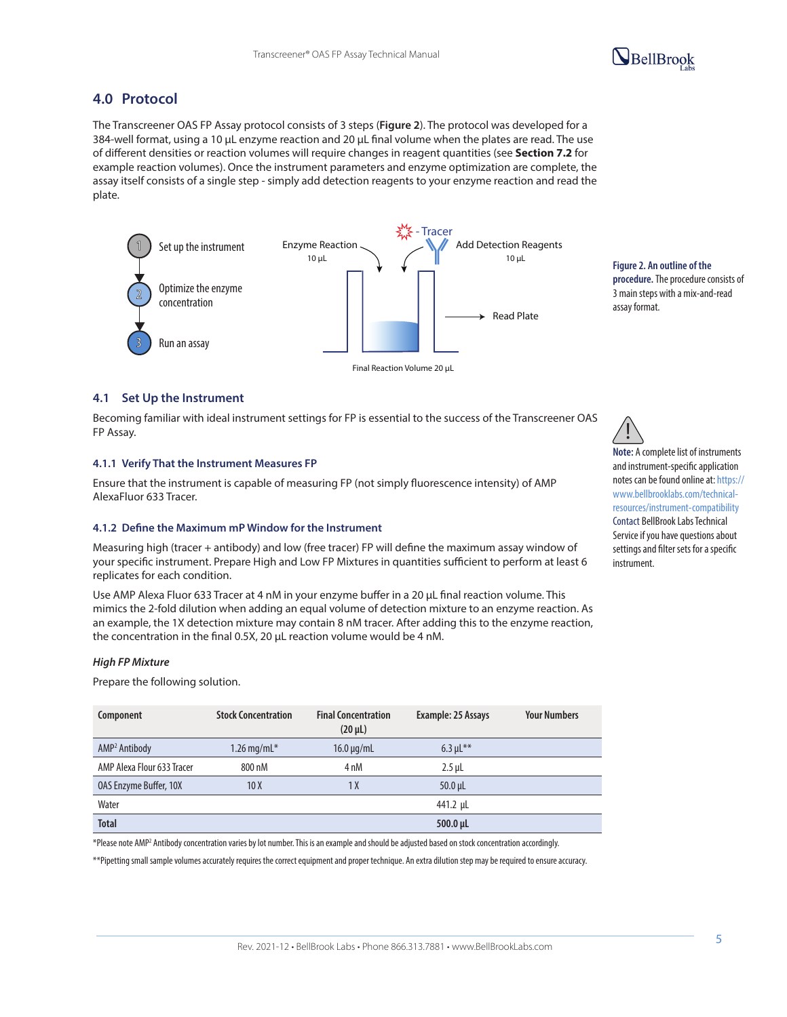# **4.0 Protocol**

The Transcreener OAS FP Assay protocol consists of 3 steps (**Figure 2**). The protocol was developed for a 384-well format, using a 10 µL enzyme reaction and 20 µL final volume when the plates are read. The use of different densities or reaction volumes will require changes in reagent quantities (see **Section 7.2** for example reaction volumes). Once the instrument parameters and enzyme optimization are complete, the assay itself consists of a single step - simply add detection reagents to your enzyme reaction and read the plate.



**Figure 2. An outline of the procedure.** The procedure consists of 3 main steps with a mix-and-read assay format.

 $\mathbf{Q}_{\text{BellBrook}}$ 

### **4.1 Set Up the Instrument**

Becoming familiar with ideal instrument settings for FP is essential to the success of the Transcreener OAS FP Assay.

#### **4.1.1 Verify That the Instrument Measures FP**

Ensure that the instrument is capable of measuring FP (not simply fluorescence intensity) of AMP AlexaFluor 633 Tracer.

### **4.1.2 Define the Maximum mP Window for the Instrument**

Measuring high (tracer + antibody) and low (free tracer) FP will define the maximum assay window of your specific instrument. Prepare High and Low FP Mixtures in quantities sufficient to perform at least 6 replicates for each condition.

Use AMP Alexa Fluor 633 Tracer at 4 nM in your enzyme buffer in a 20 µL final reaction volume. This mimics the 2-fold dilution when adding an equal volume of detection mixture to an enzyme reaction. As an example, the 1X detection mixture may contain 8 nM tracer. After adding this to the enzyme reaction, the concentration in the final 0.5X, 20 µL reaction volume would be 4 nM.

#### *High FP Mixture*

Prepare the following solution.

| Component                     | <b>Stock Concentration</b> | <b>Final Concentration</b><br>$(20 \mu L)$ | Example: 25 Assays | <b>Your Numbers</b> |
|-------------------------------|----------------------------|--------------------------------------------|--------------------|---------------------|
| AMP <sup>2</sup> Antibody     | 1.26 mg/m $L^*$            | $16.0 \mu q/mL$                            | $6.3 \mu L^{**}$   |                     |
| AMP Alexa Flour 633 Tracer    | 800 nM                     | 4 nM                                       | $2.5$ µL           |                     |
| <b>OAS Enzyme Buffer, 10X</b> | 10 X                       | 1 X                                        | $50.0$ µL          |                     |
| Water                         |                            |                                            | 441.2 µL           |                     |
| <b>Total</b>                  |                            |                                            | 500.0 µL           |                     |

\*Please note AMP2 Antibody concentration varies by lot number. This is an example and should be adjusted based on stock concentration accordingly.

\*\*Pipetting small sample volumes accurately requires the correct equipment and proper technique. An extra dilution step may be required to ensure accuracy.

**Note:** A complete list of instruments and instrument-specific application notes can be found online at: https:// www.bellbrooklabs.com/technicalresources/instrument-compatibility Contact BellBrook Labs Technical Service if you have questions about settings and filter sets for a specific instrument.

!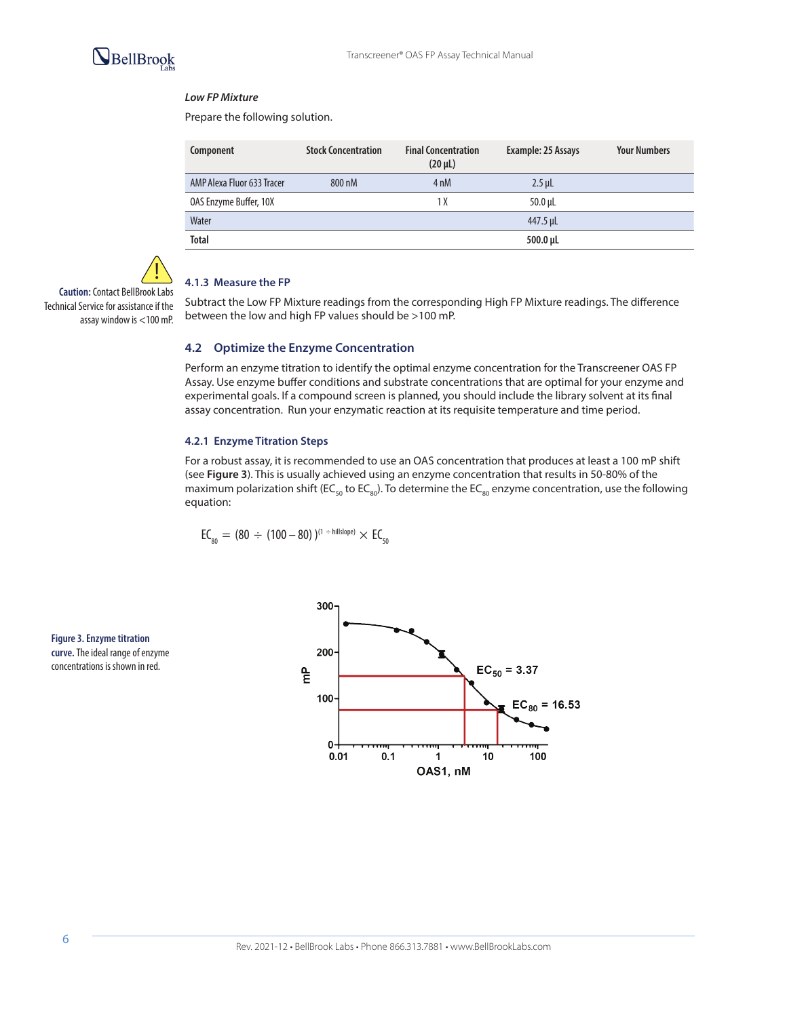

### *Low FP Mixture*

Prepare the following solution.

| Component                  | <b>Stock Concentration</b> | <b>Final Concentration</b><br>$(20 \mu L)$ | Example: 25 Assays | <b>Your Numbers</b> |
|----------------------------|----------------------------|--------------------------------------------|--------------------|---------------------|
| AMP Alexa Fluor 633 Tracer | 800 nM                     | 4 <sub>nM</sub>                            | $2.5$ µL           |                     |
| OAS Enzyme Buffer, 10X     |                            | 1 X                                        | $50.0 \mu L$       |                     |
| Water                      |                            |                                            | 447.5 µL           |                     |
| <b>Total</b>               |                            |                                            | 500.0 µL           |                     |

**Caution:** Contact BellBrook Labs Technical Service for assistance if the assay window is <100 mP. !

### **4.1.3 Measure the FP**

Subtract the Low FP Mixture readings from the corresponding High FP Mixture readings. The difference between the low and high FP values should be >100 mP.

### **4.2 Optimize the Enzyme Concentration**

Perform an enzyme titration to identify the optimal enzyme concentration for the Transcreener OAS FP Assay. Use enzyme buffer conditions and substrate concentrations that are optimal for your enzyme and experimental goals. If a compound screen is planned, you should include the library solvent at its final assay concentration. Run your enzymatic reaction at its requisite temperature and time period.

# **4.2.1 Enzyme Titration Steps**

For a robust assay, it is recommended to use an OAS concentration that produces at least a 100 mP shift (see **Figure 3**). This is usually achieved using an enzyme concentration that results in 50-80% of the maximum polarization shift (EC<sub>50</sub> to EC<sub>80</sub>). To determine the EC<sub>80</sub> enzyme concentration, use the following equation:

$$
EC_{_{80}} = (80 \div (100-80))^{(1 + \text{hillslope})} \times EC_{_{50}}
$$

**Figure 3. Enzyme titration curve.** The ideal range of enzyme concentrations is shown in red.

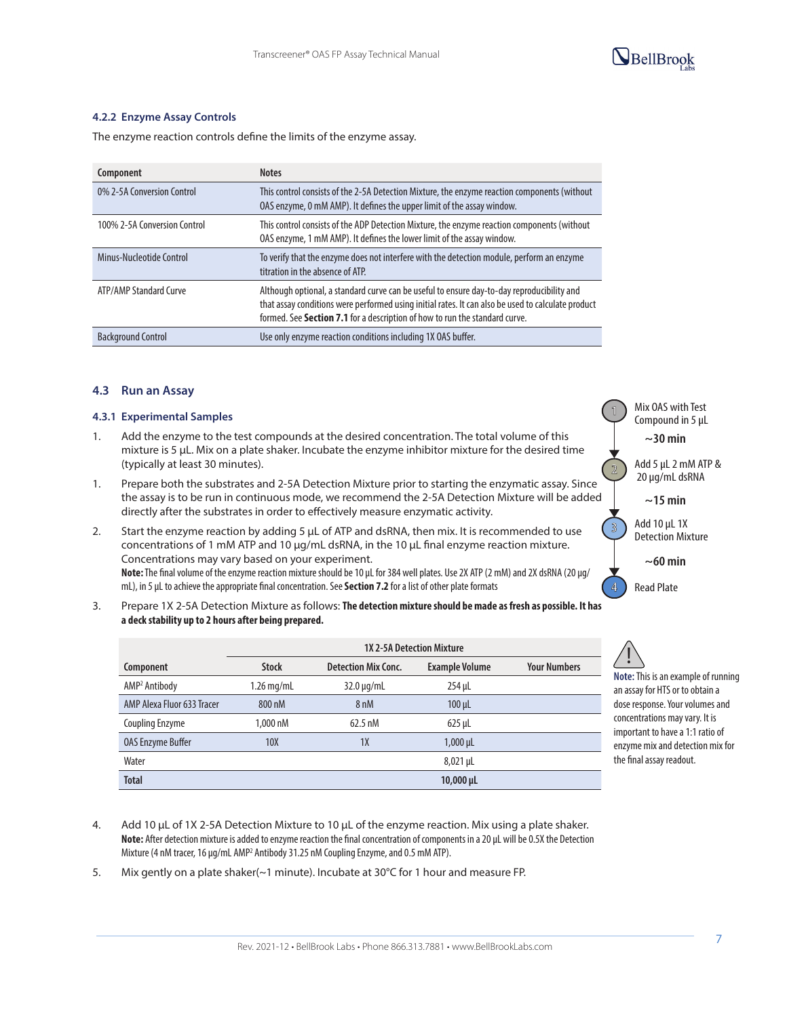

### **4.2.2 Enzyme Assay Controls**

The enzyme reaction controls define the limits of the enzyme assay.

| Component                     | <b>Notes</b>                                                                                                                                                                                                                                                                    |
|-------------------------------|---------------------------------------------------------------------------------------------------------------------------------------------------------------------------------------------------------------------------------------------------------------------------------|
| 0% 2-5A Conversion Control    | This control consists of the 2-5A Detection Mixture, the enzyme reaction components (without<br>OAS enzyme, 0 mM AMP). It defines the upper limit of the assay window.                                                                                                          |
| 100% 2-5A Conversion Control  | This control consists of the ADP Detection Mixture, the enzyme reaction components (without<br>OAS enzyme, 1 mM AMP). It defines the lower limit of the assay window.                                                                                                           |
| Minus-Nucleotide Control      | To verify that the enzyme does not interfere with the detection module, perform an enzyme<br>titration in the absence of ATP.                                                                                                                                                   |
| <b>ATP/AMP Standard Curve</b> | Although optional, a standard curve can be useful to ensure day-to-day reproducibility and<br>that assay conditions were performed using initial rates. It can also be used to calculate product<br>formed. See Section 7.1 for a description of how to run the standard curve. |
| <b>Background Control</b>     | Use only enzyme reaction conditions including 1X OAS buffer.                                                                                                                                                                                                                    |

### **4.3 Run an Assay**

#### **4.3.1 Experimental Samples**

- 1. Add the enzyme to the test compounds at the desired concentration. The total volume of this mixture is 5 µL. Mix on a plate shaker. Incubate the enzyme inhibitor mixture for the desired time (typically at least 30 minutes).
- 1. Prepare both the substrates and 2-5A Detection Mixture prior to starting the enzymatic assay. Since the assay is to be run in continuous mode, we recommend the 2-5A Detection Mixture will be added directly after the substrates in order to effectively measure enzymatic activity.
- 2. Start the enzyme reaction by adding 5 µL of ATP and dsRNA, then mix. It is recommended to use concentrations of 1 mM ATP and 10 µg/mL dsRNA, in the 10 µL final enzyme reaction mixture. Concentrations may vary based on your experiment. **Note:** The final volume of the enzyme reaction mixture should be 10 µL for 384 well plates. Use 2X ATP (2 mM) and 2X dsRNA (20 µg/ mL), in 5 µL to achieve the appropriate final concentration. See **Section 7.2** for a list of other plate formats
- 3. Prepare 1X 2-5A Detection Mixture as follows: **The detection mixture should be made as fresh as possible. It has a deck stability up to 2 hours after being prepared.**

|                            |              |                            | <b>1X 2-5A Detection Mixture</b> |                     |
|----------------------------|--------------|----------------------------|----------------------------------|---------------------|
| Component                  | <b>Stock</b> | <b>Detection Mix Conc.</b> | <b>Example Volume</b>            | <b>Your Numbers</b> |
| AMP <sup>2</sup> Antibody  | $1.26$ mg/mL | $32.0 \mu q/mL$            | $254$ µL                         |                     |
| AMP Alexa Fluor 633 Tracer | 800 nM       | 8 <sub>nM</sub>            | $100 \mu L$                      |                     |
| <b>Coupling Enzyme</b>     | 1.000 nM     | $62.5 \text{ nM}$          | $625 \mu L$                      |                     |
| <b>OAS Enzyme Buffer</b>   | <b>10X</b>   | 1X                         | $1,000 \,\mu$ L                  |                     |
| Water                      |              |                            | $8,021 \,\mu L$                  |                     |
| <b>Total</b>               |              |                            | $10,000 \,\mu$ L                 |                     |

- 4. Add 10 µL of 1X 2-5A Detection Mixture to 10 µL of the enzyme reaction. Mix using a plate shaker. **Note:** After detection mixture is added to enzyme reaction the final concentration of components in a 20 µL will be 0.5X the Detection Mixture (4 nM tracer, 16 µg/mL AMP<sup>2</sup> Antibody 31.25 nM Coupling Enzyme, and 0.5 mM ATP).
- 5. Mix gently on a plate shaker(~1 minute). Incubate at 30°C for 1 hour and measure FP.

**1**

**2**

**3**

**~30 min**

Add 5 µL 2 mM ATP & 20 µg/mL dsRNA

**~15 min**

Add 10 µL 1X Detection Mixture

**~60 min**

**4** Read Plate

**Note:** This is an example of running an assay for HTS or to obtain a dose response. Your volumes and concentrations may vary. It is important to have a 1:1 ratio of enzyme mix and detection mix for the final assay readout. !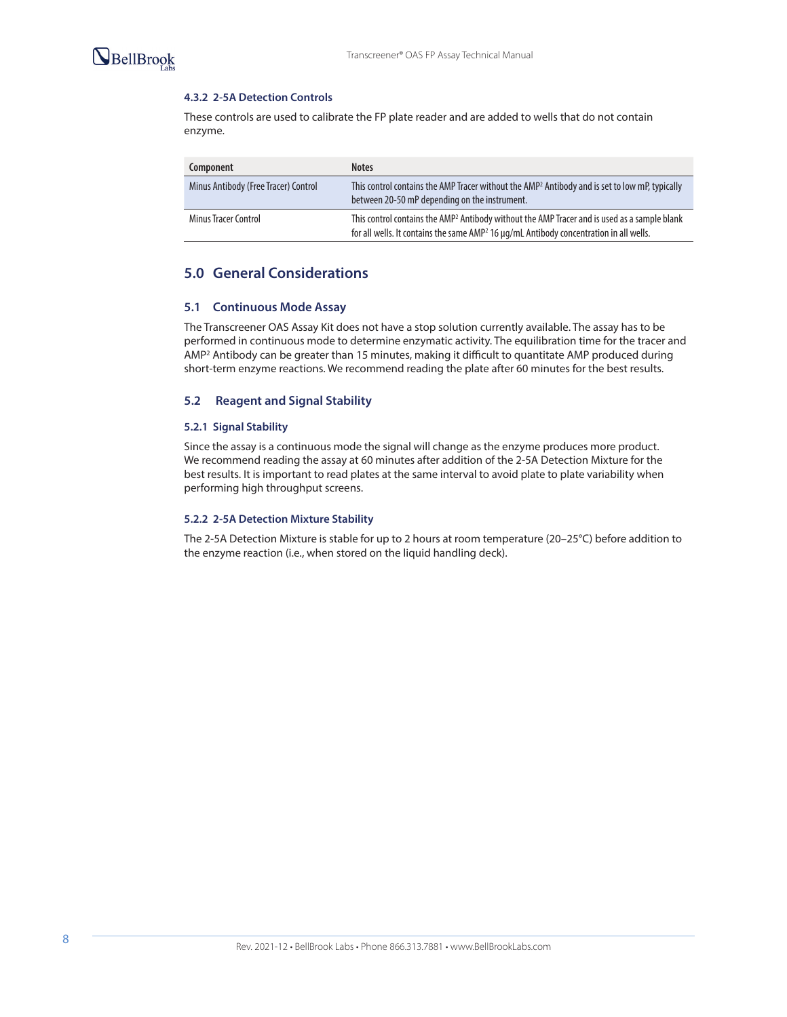

### **4.3.2 2-5A Detection Controls**

These controls are used to calibrate the FP plate reader and are added to wells that do not contain enzyme.

| Component                            | <b>Notes</b>                                                                                                                                                                                                   |
|--------------------------------------|----------------------------------------------------------------------------------------------------------------------------------------------------------------------------------------------------------------|
| Minus Antibody (Free Tracer) Control | This control contains the AMP Tracer without the AMP <sup>2</sup> Antibody and is set to low mP, typically<br>between 20-50 mP depending on the instrument.                                                    |
| Minus Tracer Control                 | This control contains the AMP <sup>2</sup> Antibody without the AMP Tracer and is used as a sample blank<br>for all wells. It contains the same AMP <sup>2</sup> 16 µg/mL Antibody concentration in all wells. |

## **5.0 General Considerations**

#### **5.1 Continuous Mode Assay**

The Transcreener OAS Assay Kit does not have a stop solution currently available. The assay has to be performed in continuous mode to determine enzymatic activity. The equilibration time for the tracer and AMP2 Antibody can be greater than 15 minutes, making it difficult to quantitate AMP produced during short-term enzyme reactions. We recommend reading the plate after 60 minutes for the best results.

### **5.2 Reagent and Signal Stability**

#### **5.2.1 Signal Stability**

Since the assay is a continuous mode the signal will change as the enzyme produces more product. We recommend reading the assay at 60 minutes after addition of the 2-5A Detection Mixture for the best results. It is important to read plates at the same interval to avoid plate to plate variability when performing high throughput screens.

#### **5.2.2 2-5A Detection Mixture Stability**

The 2-5A Detection Mixture is stable for up to 2 hours at room temperature (20–25°C) before addition to the enzyme reaction (i.e., when stored on the liquid handling deck).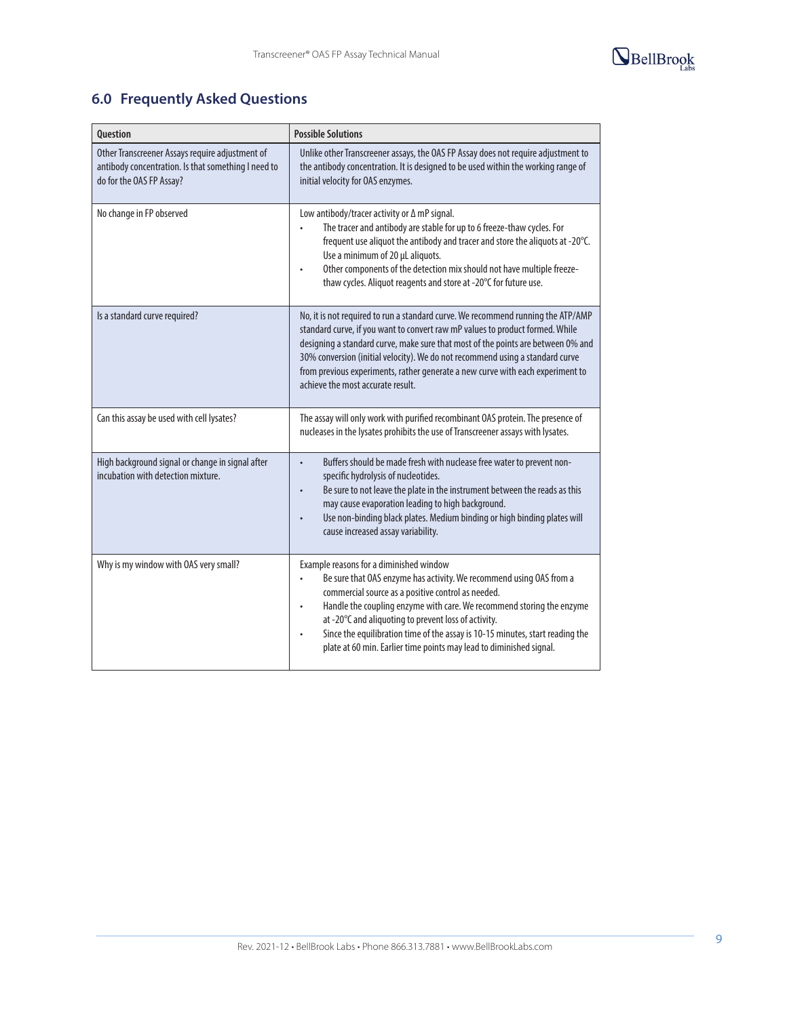

# **6.0 Frequently Asked Questions**

| <b>Ouestion</b>                                                                                                                    | <b>Possible Solutions</b>                                                                                                                                                                                                                                                                                                                                                                                                                                                               |
|------------------------------------------------------------------------------------------------------------------------------------|-----------------------------------------------------------------------------------------------------------------------------------------------------------------------------------------------------------------------------------------------------------------------------------------------------------------------------------------------------------------------------------------------------------------------------------------------------------------------------------------|
| Other Transcreener Assays require adjustment of<br>antibody concentration. Is that something I need to<br>do for the OAS FP Assay? | Unlike other Transcreener assays, the OAS FP Assay does not require adjustment to<br>the antibody concentration. It is designed to be used within the working range of<br>initial velocity for OAS enzymes.                                                                                                                                                                                                                                                                             |
| No change in FP observed                                                                                                           | Low antibody/tracer activity or $\Delta$ mP signal.<br>The tracer and antibody are stable for up to 6 freeze-thaw cycles. For<br>frequent use aliquot the antibody and tracer and store the aliquots at -20°C.<br>Use a minimum of 20 µL aliquots.<br>Other components of the detection mix should not have multiple freeze-<br>thaw cycles. Aliquot reagents and store at -20°C for future use.                                                                                        |
| Is a standard curve required?                                                                                                      | No, it is not required to run a standard curve. We recommend running the ATP/AMP<br>standard curve, if you want to convert raw mP values to product formed. While<br>designing a standard curve, make sure that most of the points are between 0% and<br>30% conversion (initial velocity). We do not recommend using a standard curve<br>from previous experiments, rather generate a new curve with each experiment to<br>achieve the most accurate result.                           |
| Can this assay be used with cell lysates?                                                                                          | The assay will only work with purified recombinant OAS protein. The presence of<br>nucleases in the lysates prohibits the use of Transcreener assays with lysates.                                                                                                                                                                                                                                                                                                                      |
| High background signal or change in signal after<br>incubation with detection mixture.                                             | Buffers should be made fresh with nuclease free water to prevent non-<br>$\bullet$<br>specific hydrolysis of nucleotides.<br>Be sure to not leave the plate in the instrument between the reads as this<br>$\bullet$<br>may cause evaporation leading to high background.<br>Use non-binding black plates. Medium binding or high binding plates will<br>$\bullet$<br>cause increased assay variability.                                                                                |
| Why is my window with OAS very small?                                                                                              | Example reasons for a diminished window<br>Be sure that OAS enzyme has activity. We recommend using OAS from a<br>commercial source as a positive control as needed.<br>Handle the coupling enzyme with care. We recommend storing the enzyme<br>$\bullet$<br>at -20°C and aliquoting to prevent loss of activity.<br>Since the equilibration time of the assay is 10-15 minutes, start reading the<br>$\bullet$<br>plate at 60 min. Earlier time points may lead to diminished signal. |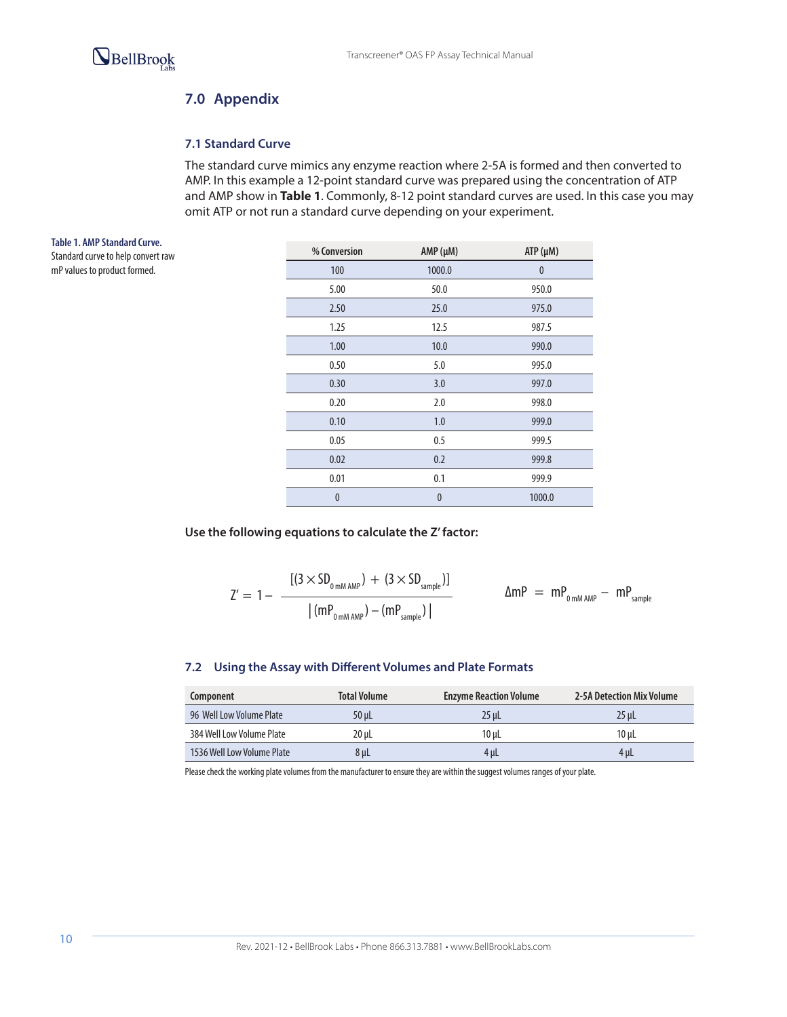

# **7.0 Appendix**

### **7.1 Standard Curve**

The standard curve mimics any enzyme reaction where 2-5A is formed and then converted to AMP. In this example a 12-point standard curve was prepared using the concentration of ATP and AMP show in **Table 1**. Commonly, 8-12 point standard curves are used. In this case you may omit ATP or not run a standard curve depending on your experiment.

**Table 1. AMP Standard Curve.**  Standard curve to help convert raw mP values to product formed.

| % Conversion | $AMP(\mu M)$ | $ATP(\mu M)$ |
|--------------|--------------|--------------|
| 100          | 1000.0       | $\bf{0}$     |
| 5.00         | 50.0         | 950.0        |
| 2.50         | 25.0         | 975.0        |
| 1.25         | 12.5         | 987.5        |
| 1.00         | 10.0         | 990.0        |
| 0.50         | 5.0          | 995.0        |
| 0.30         | 3.0          | 997.0        |
| 0.20         | 2.0          | 998.0        |
| 0.10         | 1.0          | 999.0        |
| 0.05         | 0.5          | 999.5        |
| 0.02         | 0.2          | 999.8        |
| 0.01         | 0.1          | 999.9        |
| $\bf{0}$     | $\bf{0}$     | 1000.0       |

**Use the following equations to calculate the Z' factor:**

$$
Z'=1-\frac{[(3\times SD_{_{0\,mM\,AMP}})+(3\times SD_{_{sample}})]}{|(mP_{_{0\,mM\,AMP}})-(mP_{_{sample}})|}\qquad\qquad\Delta mP~=~mP_{_{0\,mM\,AMP}}-mP_{_{sample}}
$$

### **7.2 Using the Assay with Different Volumes and Plate Formats**

| Component                  | <b>Total Volume</b> | <b>Enzyme Reaction Volume</b> | 2-5A Detection Mix Volume |
|----------------------------|---------------------|-------------------------------|---------------------------|
| 96 Well Low Volume Plate   | 50 uL               | 25 uL                         | 25 uL                     |
| 384 Well Low Volume Plate  | 20 uL               | $10$ uL                       | 10 uL                     |
| 1536 Well Low Volume Plate | 8 µL                | 4 µL                          | 4 uL                      |

Please check the working plate volumes from the manufacturer to ensure they are within the suggest volumes ranges of your plate.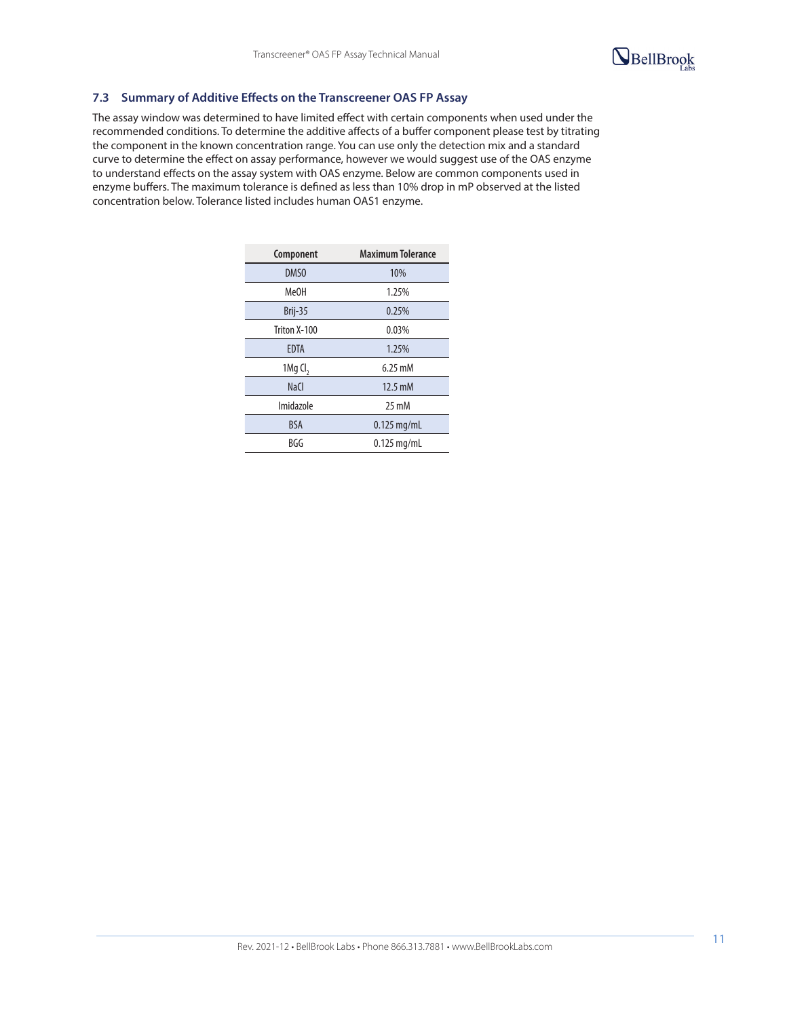

### **7.3 Summary of Additive Effects on the Transcreener OAS FP Assay**

The assay window was determined to have limited effect with certain components when used under the recommended conditions. To determine the additive affects of a buffer component please test by titrating the component in the known concentration range. You can use only the detection mix and a standard curve to determine the effect on assay performance, however we would suggest use of the OAS enzyme to understand effects on the assay system with OAS enzyme. Below are common components used in enzyme buffers. The maximum tolerance is defined as less than 10% drop in mP observed at the listed concentration below. Tolerance listed includes human OAS1 enzyme.

| Component              | <b>Maximum Tolerance</b> |
|------------------------|--------------------------|
| DMS <sub>0</sub>       | 10%                      |
| Me0H                   | 1.25%                    |
| Brij-35                | 0.25%                    |
| Triton X-100           | 0.03%                    |
| <b>EDTA</b>            | 1.25%                    |
| $1$ Mg Cl <sub>2</sub> | $6.25 \text{ mM}$        |
| <b>NaCl</b>            | $12.5 \text{ mM}$        |
| Imidazole              | $25 \text{ mM}$          |
| <b>BSA</b>             | $0.125$ mg/mL            |
| BGG                    | $0.125$ mg/mL            |
|                        |                          |